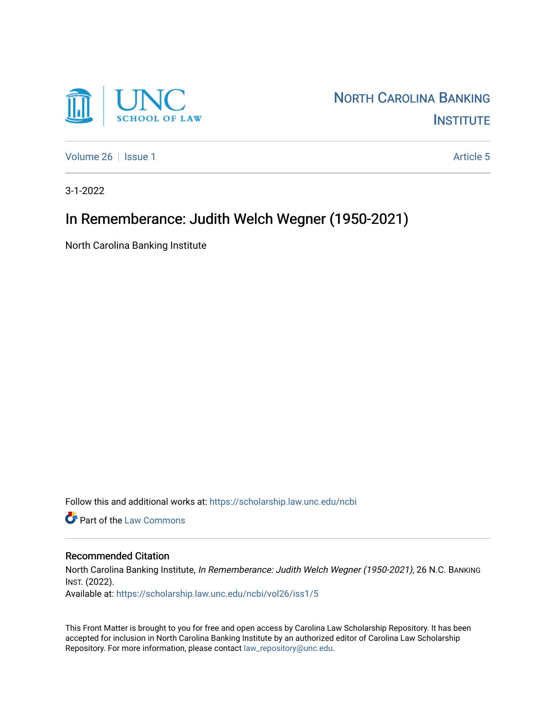

[Volume 26](https://scholarship.law.unc.edu/ncbi/vol26) Setsue 1 [Article 5](https://scholarship.law.unc.edu/ncbi/vol26/iss1/5) Article 5

3-1-2022

## In Rememberance: Judith Welch Wegner (1950-2021)

North Carolina Banking Institute

Follow this and additional works at: [https://scholarship.law.unc.edu/ncbi](https://scholarship.law.unc.edu/ncbi?utm_source=scholarship.law.unc.edu%2Fncbi%2Fvol26%2Fiss1%2F5&utm_medium=PDF&utm_campaign=PDFCoverPages)

**C** Part of the [Law Commons](https://network.bepress.com/hgg/discipline/578?utm_source=scholarship.law.unc.edu%2Fncbi%2Fvol26%2Fiss1%2F5&utm_medium=PDF&utm_campaign=PDFCoverPages)

## Recommended Citation

North Carolina Banking Institute, In Rememberance: Judith Welch Wegner (1950-2021), 26 N.C. BANKING INST. (2022).

Available at: [https://scholarship.law.unc.edu/ncbi/vol26/iss1/5](https://scholarship.law.unc.edu/ncbi/vol26/iss1/5?utm_source=scholarship.law.unc.edu%2Fncbi%2Fvol26%2Fiss1%2F5&utm_medium=PDF&utm_campaign=PDFCoverPages) 

This Front Matter is brought to you for free and open access by Carolina Law Scholarship Repository. It has been accepted for inclusion in North Carolina Banking Institute by an authorized editor of Carolina Law Scholarship Repository. For more information, please contact [law\\_repository@unc.edu](mailto:law_repository@unc.edu).